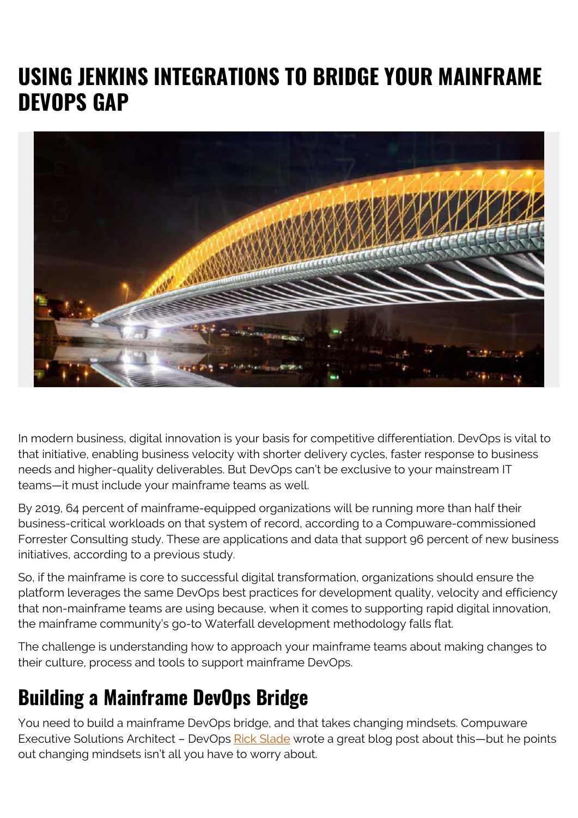# **USING JENKINS INTEGRATIONS TO BRIDGE YOUR MAINFRAME DEVOPS GAP**



In modern business, digital innovation is your basis for competitive differentiation. DevOps is vital to that initiative, enabling business velocity with shorter delivery cycles, faster response to business needs and higher-quality deliverables. But DevOps can't be exclusive to your mainstream IT teams—it must include your mainframe teams as well.

By 2019, 64 percent of mainframe-equipped organizations will be running more than half their business-critical workloads on that system of record, according to a Compuware-commissioned Forrester Consulting study. These are applications and data that support 96 percent of new business initiatives, according to a previous study.

So, if the mainframe is core to successful digital transformation, organizations should ensure the platform leverages the same DevOps best practices for development quality, velocity and efficiency that non-mainframe teams are using because, when it comes to supporting rapid digital innovation, the mainframe community's go-to Waterfall development methodology falls flat.

The challenge is understanding how to approach your mainframe teams about making changes to their culture, process and tools to support mainframe DevOps.

### **Building a Mainframe DevOps Bridge**

You need to build a mainframe DevOps bridge, and that takes changing mindsets. Compuware Executive Solutions Architect - DevOps [Rick Slade](https://www.linkedin.com/in/rickslade/) wrote a great blog post about this—but he points out changing mindsets isn't all you have to worry about.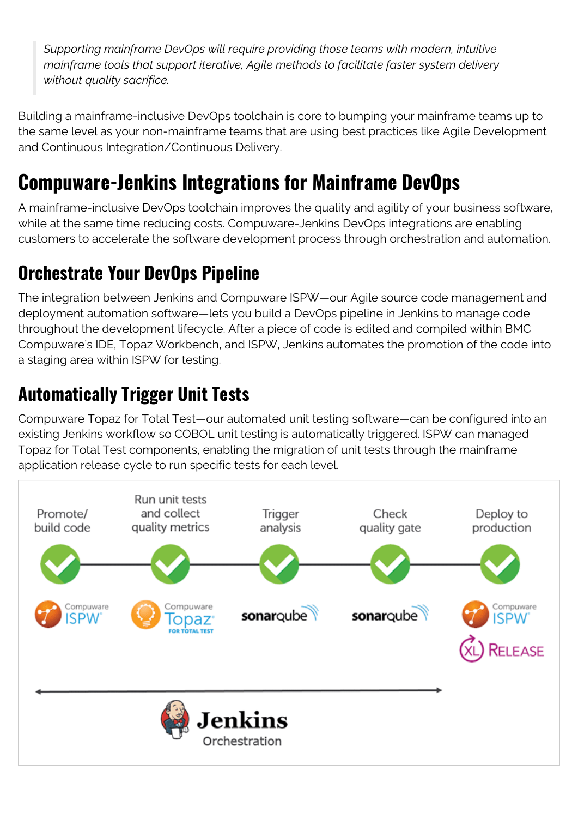*Supporting mainframe DevOps will require providing those teams with modern, intuitive mainframe tools that support iterative, Agile methods to facilitate faster system delivery without quality sacrifice.*

Building a mainframe-inclusive DevOps toolchain is core to bumping your mainframe teams up to the same level as your non-mainframe teams that are using best practices like Agile Development and Continuous Integration/Continuous Delivery.

## **Compuware-Jenkins Integrations for Mainframe DevOps**

A mainframe-inclusive DevOps toolchain improves the quality and agility of your business software, while at the same time reducing costs. Compuware-Jenkins DevOps integrations are enabling customers to accelerate the software development process through orchestration and automation.

### **Orchestrate Your DevOps Pipeline**

The integration between Jenkins and Compuware ISPW—our Agile source code management and deployment automation software—lets you build a DevOps pipeline in Jenkins to manage code throughout the development lifecycle. After a piece of code is edited and compiled within BMC Compuware's IDE, Topaz Workbench, and ISPW, Jenkins automates the promotion of the code into a staging area within ISPW for testing.

### **Automatically Trigger Unit Tests**

Compuware Topaz for Total Test—our automated unit testing software—can be configured into an existing Jenkins workflow so COBOL unit testing is automatically triggered. ISPW can managed Topaz for Total Test components, enabling the migration of unit tests through the mainframe application release cycle to run specific tests for each level.

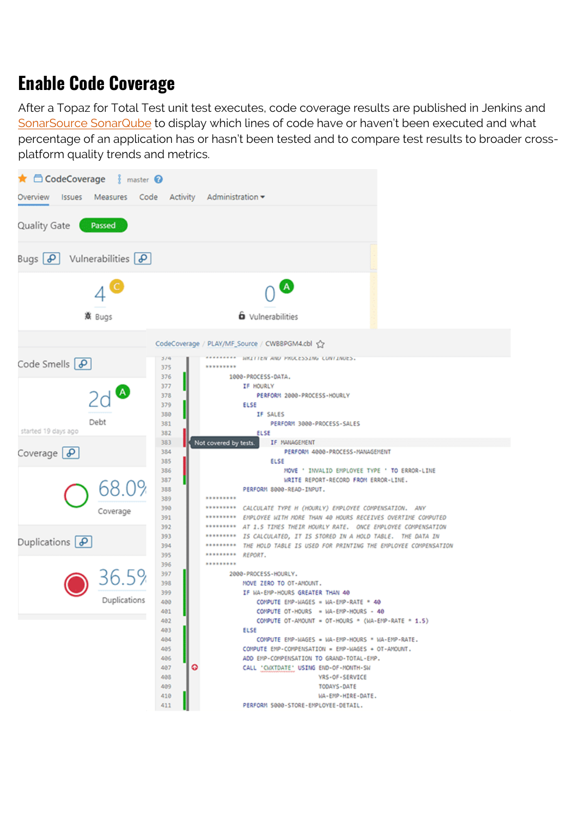#### **Enable Code Coverage**

After a Topaz for Total Test unit test executes, code coverage results are published in Jenkins and [SonarSource SonarQube](http://www.compuware.com/partnerships/sonarsource/) to display which lines of code have or haven't been executed and what percentage of an application has or hasn't been tested and to compare test results to broader crossplatform quality trends and metrics.